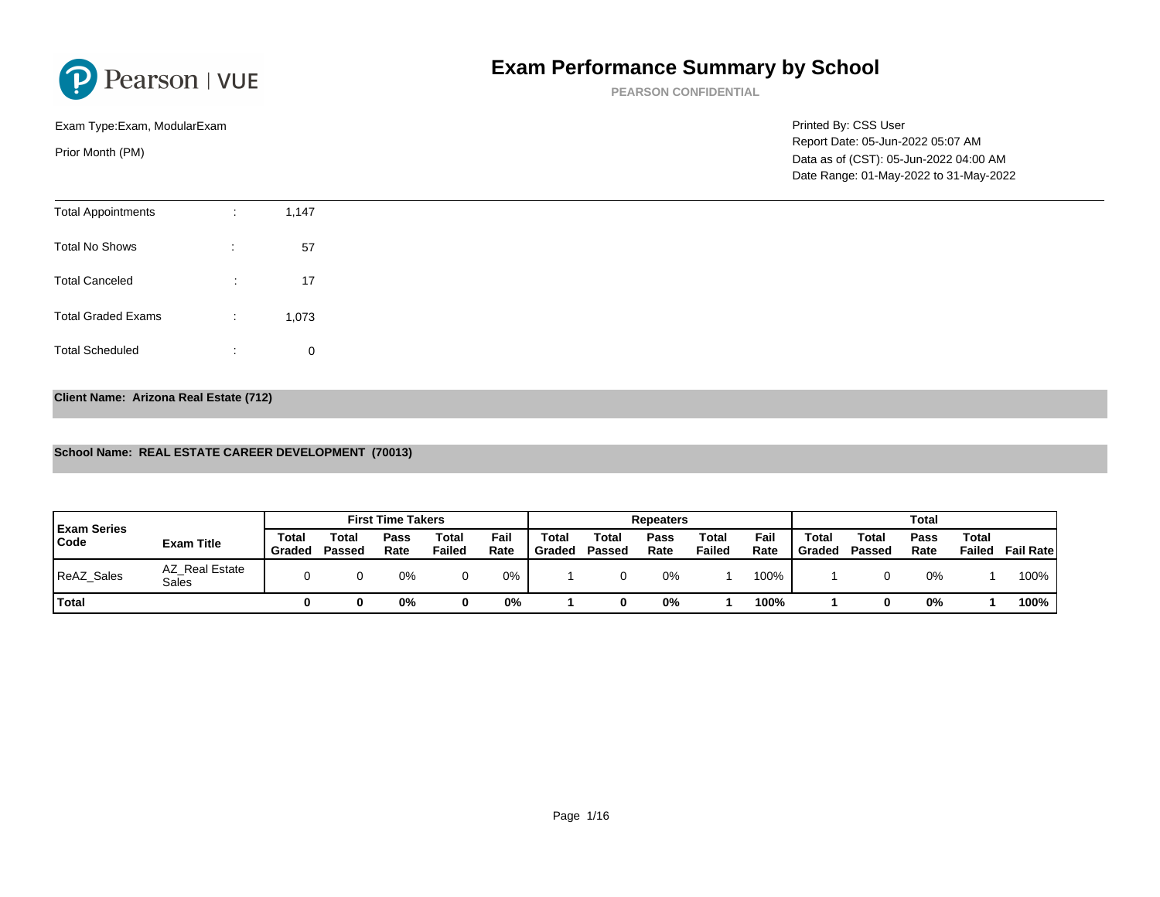PEARSON CONFIDENTIAL

Printed By: CSS Us Report Date: 05-Jun Data as of (CST): 0 Exam Type:Exam, ModularExam Prior Month (PM) Date Range: 01-May

| <b>Total Appointments</b> | $\sim$<br>$\mathbf{r}$ | 1,147 |
|---------------------------|------------------------|-------|
| <b>Total No Shows</b>     | $\bullet$<br>$\sim$    | 57    |
| <b>Total Canceled</b>     | ÷                      | 17    |
| <b>Total Graded Exams</b> | $\sim$<br>$\cdot$      | 1,073 |
| <b>Total Scheduled</b>    | ÷                      | 0     |

### Client Name: Arizona Real Estate (712)

## School Name: REAL ESTATE CAREER DEVELOPMENT (70013)

| <b>Exam Series</b> |                         |                 |                 | <b>First Time Takers</b> |                 |              |                 |                 | Repeaters    |                 |              |                 |                 |
|--------------------|-------------------------|-----------------|-----------------|--------------------------|-----------------|--------------|-----------------|-----------------|--------------|-----------------|--------------|-----------------|-----------------|
| Code               | Exam Title              | Total<br>Graded | Total<br>Passed | Pass<br>Rate             | Total<br>Failed | Fail<br>Rate | Total<br>Graded | Total<br>Passed | Pass<br>Rate | Total<br>Failed | Fail<br>Rate | Total<br>Graded | Total<br>Passed |
| ReAZ_Sales         | AZ Real Estate<br>Sales |                 |                 | 0%                       |                 | 0%           |                 |                 | 0%           |                 | 100%         |                 |                 |
| Total              |                         |                 |                 | 0%                       |                 | 0%           |                 |                 | 0%           |                 | 100%         |                 |                 |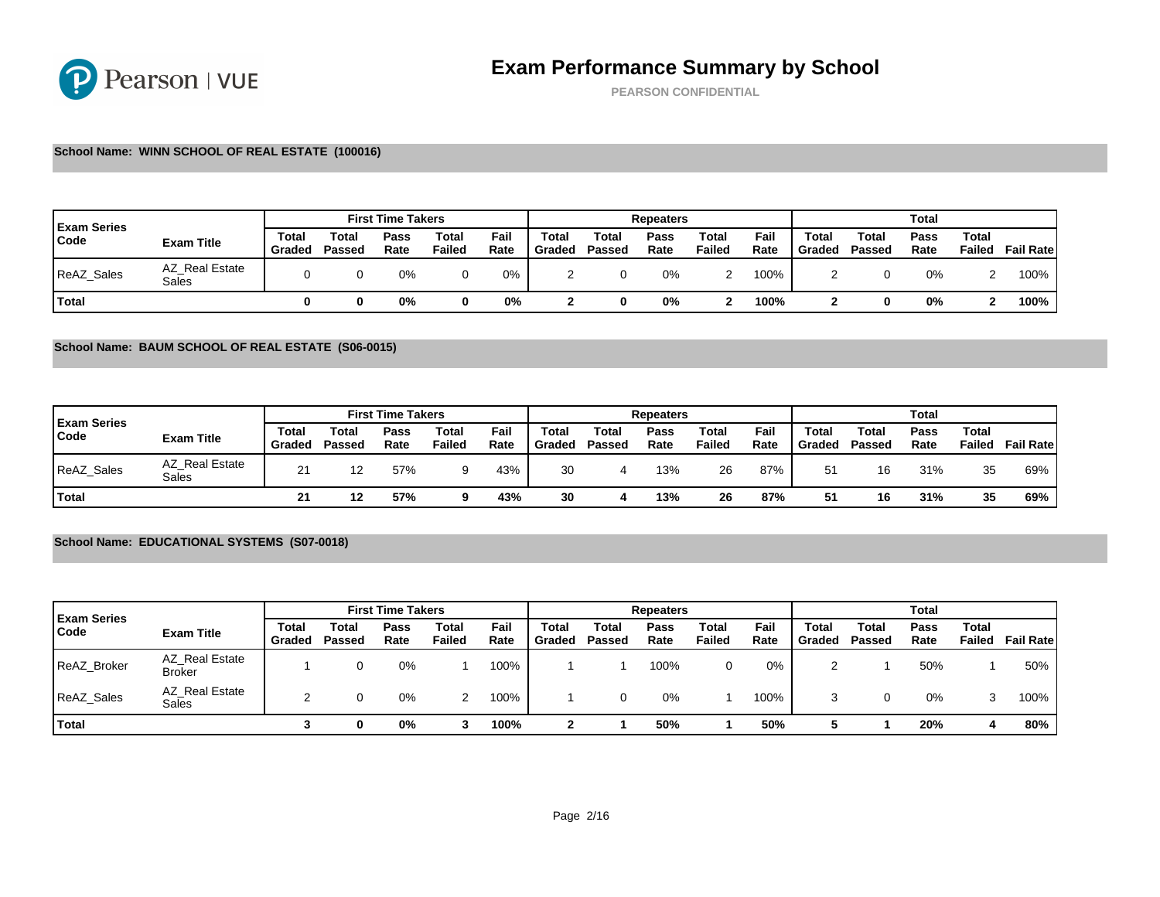PEARSON CONFIDENTIAL

### School Name: WINN SCHOOL OF REAL ESTATE (100016)

| <b>Exam Series</b> |                         |                 |                       | <b>First Time Takers</b> |                 |              |                 |                 | Repeaters    |                 |              |                 |                 |
|--------------------|-------------------------|-----------------|-----------------------|--------------------------|-----------------|--------------|-----------------|-----------------|--------------|-----------------|--------------|-----------------|-----------------|
| Code               | Exam Title              | Total<br>Gradec | $\tau$ otal<br>Passed | Pass<br>Rate             | Total<br>Failed | Fail<br>Rate | Total<br>Graded | Total<br>Passed | Pass<br>Rate | Total<br>Failed | Fail<br>Rate | Total<br>Graded | Total<br>Passed |
| <b>ReAZ Sales</b>  | AZ Real Estate<br>Sales |                 |                       | 0%                       |                 | 0%           |                 |                 | 0%           |                 | 100%         |                 |                 |
| <b>Total</b>       |                         |                 |                       | 0%                       |                 | 0%           |                 |                 | 0%           |                 | 100%         |                 |                 |

School Name: BAUM SCHOOL OF REAL ESTATE (S06-0015)

| <b>Exam Series</b> |                         |                      |                 | <b>First Time Takers</b> |                 |              |                 |                 | Repeaters    |                 |              |                 |                 |
|--------------------|-------------------------|----------------------|-----------------|--------------------------|-----------------|--------------|-----------------|-----------------|--------------|-----------------|--------------|-----------------|-----------------|
| Code               | Exam Title              | Total<br>Graded      | Total<br>Passed | Pass<br>Rate             | Total<br>Failed | Fail<br>Rate | Total<br>Graded | Total<br>Passed | Pass<br>Rate | Total<br>Failed | Fail<br>Rate | Total<br>Graded | Total<br>Passed |
| ReAZ_Sales         | AZ Real Estate<br>Sales | $\Omega$<br><u>_</u> | 12              | 57%                      | 9               | 43%          | 30              |                 | 13%          | 26              | 87%          | 51              | 16              |
| Total              |                         | $\Omega$<br>▴        | 10              | 57%                      |                 | 43%          | 30              |                 | 13%          | 26              | 87%          | 51              | 16              |

## School Name: EDUCATIONAL SYSTEMS (S07-0018)

| <b>Exam Series</b> |                                 |                 |                 | <b>First Time Takers</b> |                 |              |                 |                 | Repeaters    |                 |              |                 |                 |
|--------------------|---------------------------------|-----------------|-----------------|--------------------------|-----------------|--------------|-----------------|-----------------|--------------|-----------------|--------------|-----------------|-----------------|
| Code               | Exam Title                      | Total<br>Graded | Total<br>Passed | Pass<br>Rate             | Total<br>Failed | Fail<br>Rate | Total<br>Graded | Total<br>Passed | Pass<br>Rate | Total<br>Failed | Fail<br>Rate | Total<br>Graded | Total<br>Passed |
| <b>ReAZ Broker</b> | AZ Real Estate<br><b>Broker</b> |                 |                 | 0%                       |                 | 100%         |                 |                 | 100%         |                 | 0%           |                 |                 |
| ReAZ_Sales         | AZ Real Estate<br>Sales         |                 |                 | 0%                       | 2               | 100%         |                 |                 | 0%           |                 | 100%         | 3               | 0               |
| <sup>1</sup> Total |                                 |                 |                 | 0%                       |                 | 100%         | ົ               |                 | 50%          |                 | 50%          |                 |                 |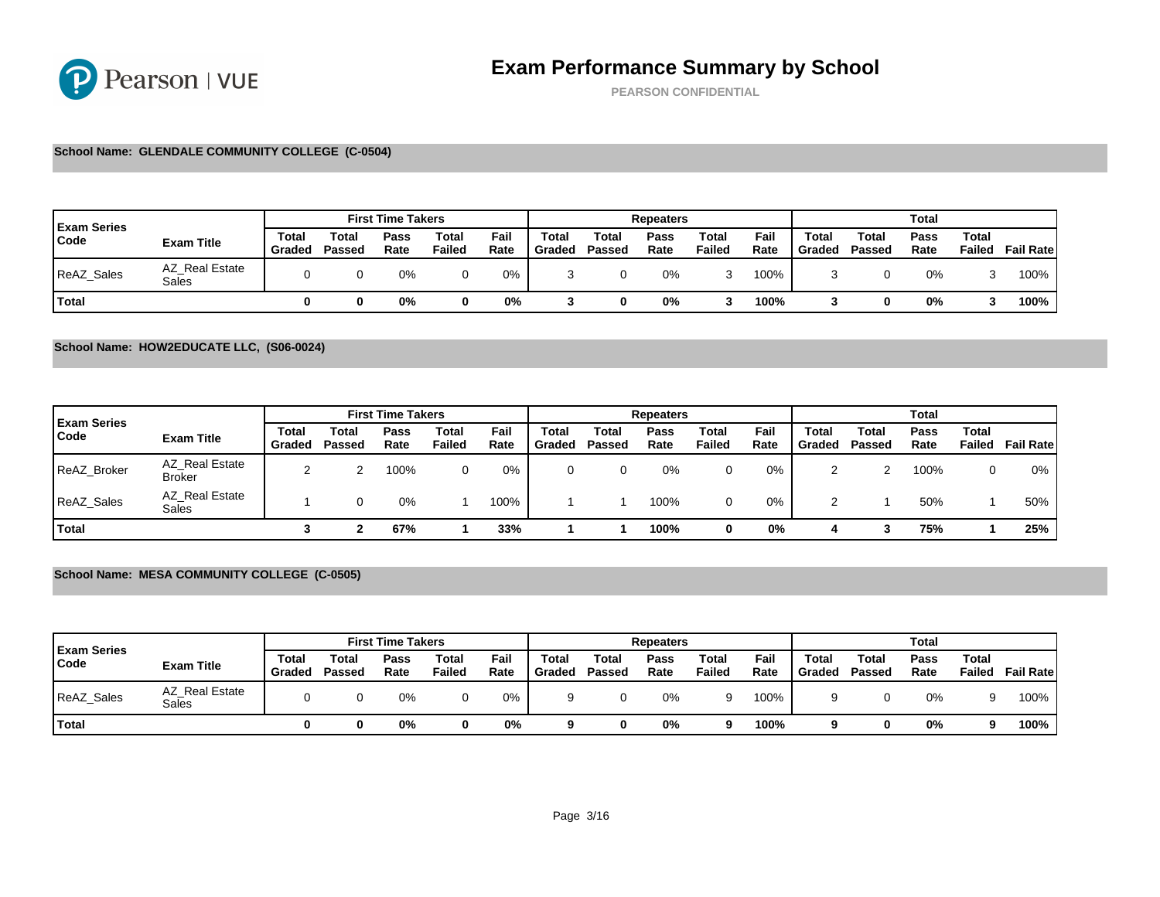PEARSON CONFIDENTIAL

### School Name: GLENDALE COMMUNITY COLLEGE (C-0504)

| <b>Exam Series</b> |                         |                 |                       | <b>First Time Takers</b> |                 |              |                 |                 | Repeaters    |                 |              |                 |                 |
|--------------------|-------------------------|-----------------|-----------------------|--------------------------|-----------------|--------------|-----------------|-----------------|--------------|-----------------|--------------|-----------------|-----------------|
| Code               | Exam Title              | Total<br>Graded | $\tau$ otal<br>Passed | Pass<br>Rate             | Total<br>Failed | Fail<br>Rate | Total<br>Graded | Total<br>Passed | Pass<br>Rate | Total<br>Failed | Fail<br>Rate | Total<br>Graded | Total<br>Passed |
| <b>ReAZ Sales</b>  | AZ Real Estate<br>Sales |                 |                       | 0%                       |                 | 0%           |                 |                 | 0%           |                 | 100%         |                 |                 |
| Total              |                         |                 |                       | 0%                       |                 | 0%           |                 |                 | 0%           |                 | 100%         |                 |                 |

### School Name: HOW2EDUCATE LLC, (S06-0024)

| <b>Exam Series</b> |                                 |                 |                 | <b>First Time Takers</b> |                 |              |                 |                 | Repeaters    |                 |              |                 |                 |
|--------------------|---------------------------------|-----------------|-----------------|--------------------------|-----------------|--------------|-----------------|-----------------|--------------|-----------------|--------------|-----------------|-----------------|
| Code               | Exam Title                      | Total<br>Graded | Total<br>Passed | Pass<br>Rate             | Total<br>Failed | Fail<br>Rate | Total<br>Graded | Total<br>Passed | Pass<br>Rate | Total<br>Failed | Fail<br>Rate | Total<br>Graded | Total<br>Passed |
| <b>ReAZ Broker</b> | AZ Real Estate<br><b>Broker</b> | n               | ◠               | 100%                     | 0               | 0%           | 0               |                 | 0%           |                 | 0%           |                 | ົ<br>∼          |
| <b>ReAZ Sales</b>  | AZ Real Estate<br>Sales         |                 |                 | 0%                       |                 | 100%         |                 |                 | 100%         |                 | 0%           |                 |                 |
| Total              |                                 |                 |                 | 67%                      |                 | 33%          |                 |                 | 100%         |                 | 0%           | 4               | 3               |

## School Name: MESA COMMUNITY COLLEGE (C-0505)

| <b>Exam Series</b> |                         |                 |                 | <b>First Time Takers</b> |                 |              |                 |                 | Repeaters    |                 |              |                 |                 |
|--------------------|-------------------------|-----------------|-----------------|--------------------------|-----------------|--------------|-----------------|-----------------|--------------|-----------------|--------------|-----------------|-----------------|
| Code               | Exam Title              | Total<br>Graded | Total<br>Passed | Pass<br>Rate             | Total<br>Failed | Fail<br>Rate | Total<br>Graded | Total<br>Passed | Pass<br>Rate | Total<br>Failed | Fail<br>Rate | Total<br>Graded | Total<br>Passed |
| ReAZ_Sales         | AZ Real Estate<br>Sales |                 |                 | 0%                       |                 | $0\%$        |                 |                 | 0%           |                 | 100%         |                 |                 |
| Total              |                         |                 |                 | 0%                       |                 | 0%           |                 |                 | 0%           |                 | 100%         |                 |                 |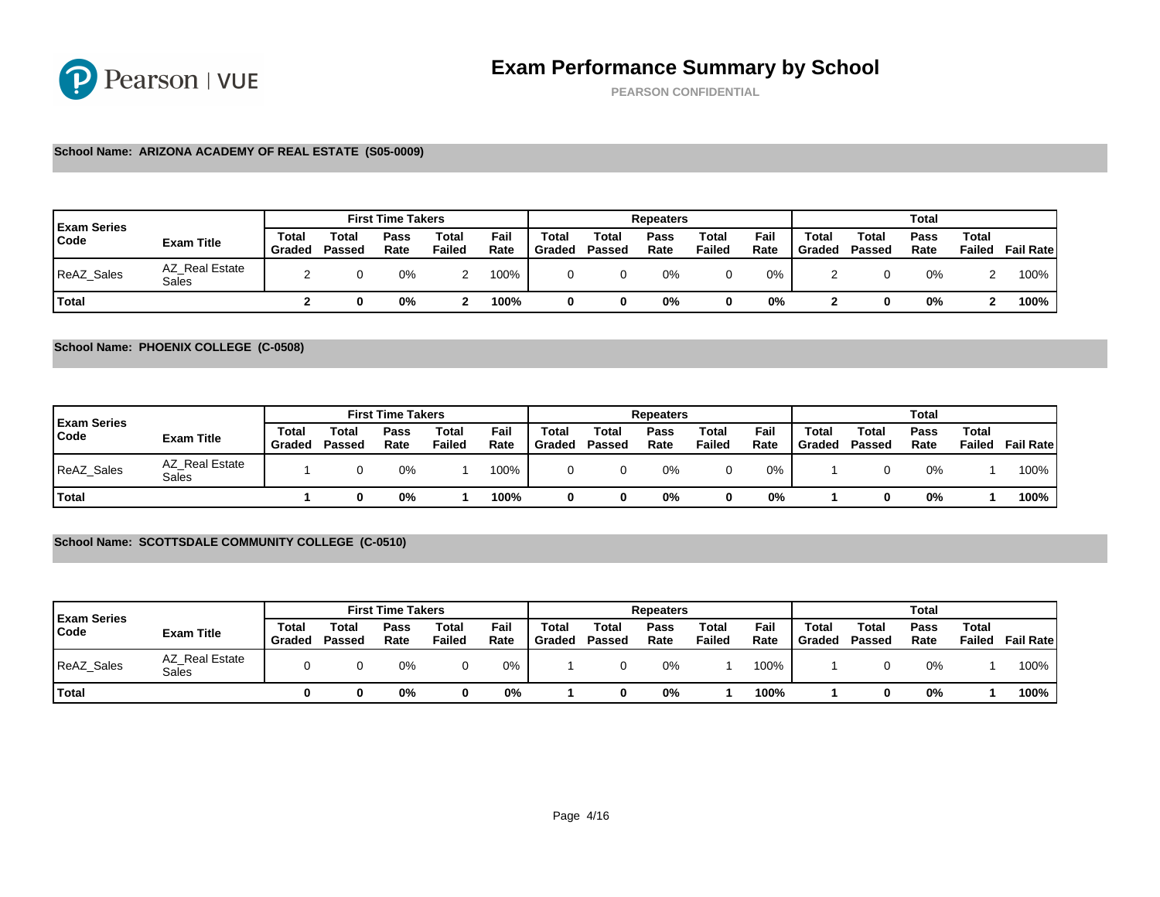PEARSON CONFIDENTIAL

### School Name: ARIZONA ACADEMY OF REAL ESTATE (S05-0009)

| <b>Exam Series</b> |                         |                 |                       | <b>First Time Takers</b> |                 |              |                 |                 | Repeaters    |                 |              |                 |                 |
|--------------------|-------------------------|-----------------|-----------------------|--------------------------|-----------------|--------------|-----------------|-----------------|--------------|-----------------|--------------|-----------------|-----------------|
| Code               | Exam Title              | Total<br>Gradec | $\tau$ otal<br>Passed | Pass<br>Rate             | Total<br>Failed | Fail<br>Rate | Total<br>Graded | Total<br>Passed | Pass<br>Rate | Total<br>Failed | Fail<br>Rate | Total<br>Graded | Total<br>Passed |
| ReAZ_Sales         | AZ Real Estate<br>Sales |                 |                       | 0%                       |                 | 100%         |                 |                 | 0%           |                 | 0%           |                 |                 |
| <b>Total</b>       |                         |                 |                       | 0%                       |                 | 100%         |                 |                 | 0%           |                 | 0%           |                 |                 |

### School Name: PHOENIX COLLEGE (C-0508)

|                            |                         |                 |                 | <b>First Time Takers</b> |                 |              |                 |                 | Repeaters    |                 |              |                 |                 |
|----------------------------|-------------------------|-----------------|-----------------|--------------------------|-----------------|--------------|-----------------|-----------------|--------------|-----------------|--------------|-----------------|-----------------|
| <b>Exam Series</b><br>Code | Exam Title              | Total<br>Graded | Total<br>Passed | Pass<br>Rate             | Total<br>Failed | Fail<br>Rate | Total<br>Graded | Total<br>Passed | Pass<br>Rate | Total<br>Failed | Fail<br>Rate | Total<br>Graded | Total<br>Passed |
| ReAZ_Sales                 | AZ Real Estate<br>Sales |                 |                 | 0%                       |                 | 100%         |                 |                 | 0%           |                 | 0%           |                 |                 |
| <sup>1</sup> Total         |                         |                 |                 | 0%                       |                 | 100%         |                 |                 | 0%           |                 | 0%           |                 |                 |

### School Name: SCOTTSDALE COMMUNITY COLLEGE (C-0510)

| <b>Exam Series</b> |                         |                 |                 | <b>First Time Takers</b> |                 |              |                 |                 | Repeaters    |                 |              |                 |                 |
|--------------------|-------------------------|-----------------|-----------------|--------------------------|-----------------|--------------|-----------------|-----------------|--------------|-----------------|--------------|-----------------|-----------------|
| Code               | Exam Title              | Total<br>Graded | Total<br>Passed | Pass<br>Rate             | Total<br>Failed | Fail<br>Rate | Total<br>Graded | Total<br>Passed | Pass<br>Rate | Total<br>Failed | Fail<br>Rate | Total<br>Graded | Total<br>Passed |
| ReAZ Sales         | AZ Real Estate<br>Sales |                 |                 | 0%                       |                 | 0%           |                 |                 | 0%           |                 | 100%         |                 |                 |
| Total              |                         |                 |                 | 0%                       |                 | 0%           |                 |                 | 0%           |                 | 100%         |                 |                 |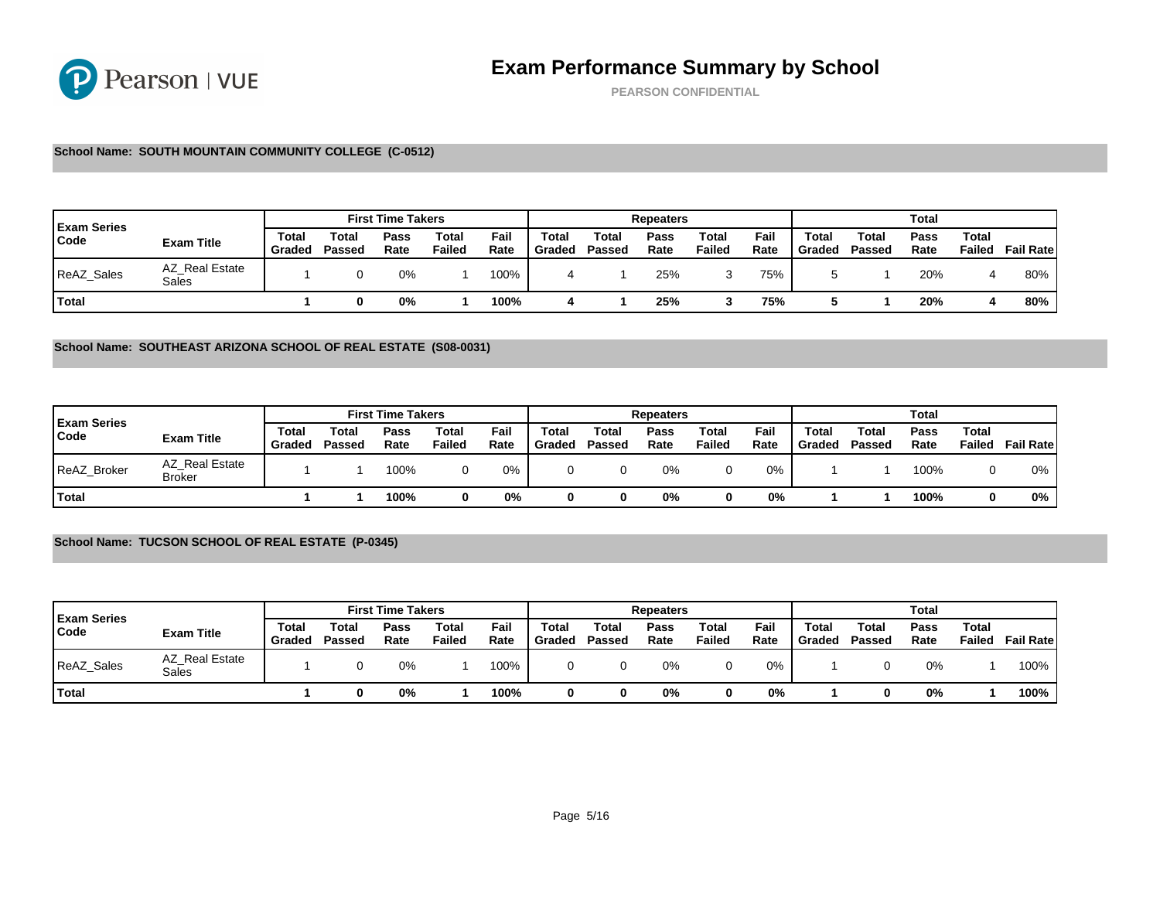PEARSON CONFIDENTIAL

### School Name: SOUTH MOUNTAIN COMMUNITY COLLEGE (C-0512)

| <b>Exam Series</b> |                         |                 |                       | <b>First Time Takers</b> |                 |              |                 |                 | Repeaters    |                 |              |                 |                 |
|--------------------|-------------------------|-----------------|-----------------------|--------------------------|-----------------|--------------|-----------------|-----------------|--------------|-----------------|--------------|-----------------|-----------------|
| Code               | Exam Title              | Total<br>Gradec | $\tau$ otal<br>Passed | Pass<br>Rate             | Total<br>Failed | Fail<br>Rate | Total<br>Graded | Total<br>Passed | Pass<br>Rate | Total<br>Failed | Fail<br>Rate | Total<br>Graded | Total<br>Passed |
| <b>ReAZ Sales</b>  | AZ Real Estate<br>Sales |                 |                       | 0%                       |                 | 100%         |                 |                 | 25%          |                 | 75%          |                 |                 |
| <b>Total</b>       |                         |                 |                       | 0%                       |                 | 100%         |                 |                 | 25%          |                 | 75%          |                 |                 |

#### School Name: SOUTHEAST ARIZONA SCHOOL OF REAL ESTATE (S08-0031)

| <b>Exam Series</b> |                                 |                 |                 | <b>First Time Takers</b> |                 |              |                 |                 | Repeaters    |                 |              |                 |                 |
|--------------------|---------------------------------|-----------------|-----------------|--------------------------|-----------------|--------------|-----------------|-----------------|--------------|-----------------|--------------|-----------------|-----------------|
| Code               | Exam Title                      | Total<br>Graded | Total<br>Passed | Pass<br>Rate             | Total<br>Failed | Fail<br>Rate | Total<br>Graded | Total<br>Passed | Pass<br>Rate | Total<br>Failed | Fail<br>Rate | Total<br>Graded | Total<br>Passed |
| ReAZ_Broker        | AZ Real Estate<br><b>Broker</b> |                 |                 | 100%                     |                 | 0%           |                 |                 | 0%           |                 | 0%           |                 |                 |
| <sup>1</sup> Total |                                 |                 |                 | 100%                     |                 | 0%           |                 |                 | 0%           |                 | 0%           |                 |                 |

## School Name: TUCSON SCHOOL OF REAL ESTATE (P-0345)

| <b>Exam Series</b> |                         |                 |                 | <b>First Time Takers</b> |                 |              |                 |                 | Repeaters    |                 |              |                 |                 |
|--------------------|-------------------------|-----------------|-----------------|--------------------------|-----------------|--------------|-----------------|-----------------|--------------|-----------------|--------------|-----------------|-----------------|
| Code               | Exam Title              | Total<br>Graded | Total<br>Passed | Pass<br>Rate             | Total<br>Failed | Fail<br>Rate | Total<br>Graded | Total<br>Passed | Pass<br>Rate | Total<br>Failed | Fail<br>Rate | Total<br>Graded | Total<br>Passed |
| ReAZ_Sales         | AZ Real Estate<br>Sales |                 |                 | 0%                       |                 | 100%         |                 |                 | 0%           |                 | 0%           |                 |                 |
| <b>T</b> otal      |                         |                 |                 | 0%                       |                 | 100%         |                 |                 | 0%           |                 | 0%           |                 |                 |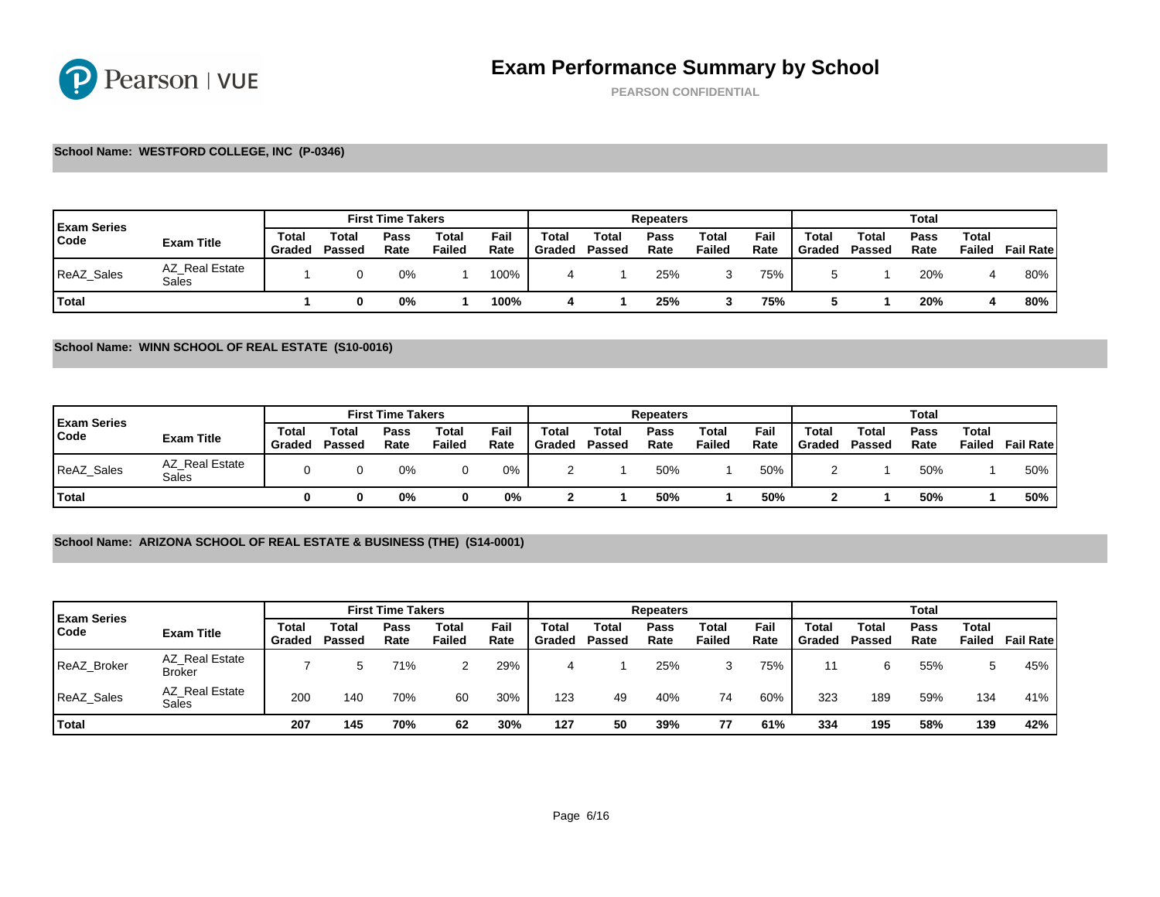PEARSON CONFIDENTIAL

### School Name: WESTFORD COLLEGE, INC (P-0346)

| <b>Exam Series</b> |                         |                 |                       | <b>First Time Takers</b> |                 |              |                 |                 | Repeaters    |                 |              |                 |                 |
|--------------------|-------------------------|-----------------|-----------------------|--------------------------|-----------------|--------------|-----------------|-----------------|--------------|-----------------|--------------|-----------------|-----------------|
| Code               | Exam Title              | Total<br>Gradec | $\tau$ otal<br>Passed | Pass<br>Rate             | Total<br>Failed | Fail<br>Rate | Total<br>Graded | Total<br>Passed | Pass<br>Rate | Total<br>Failed | Fail<br>Rate | Total<br>Graded | Total<br>Passed |
| <b>ReAZ Sales</b>  | AZ Real Estate<br>Sales |                 |                       | 0%                       |                 | 100%         |                 |                 | 25%          |                 | 75%          |                 |                 |
| <b>Total</b>       |                         |                 |                       | 0%                       |                 | 100%         |                 |                 | 25%          |                 | 75%          |                 |                 |

School Name: WINN SCHOOL OF REAL ESTATE (S10-0016)

| <b>Exam Series</b> |                         |                 |                 | <b>First Time Takers</b> |                 |              |                 |                 | Repeaters    |                 |              |                 |                 |
|--------------------|-------------------------|-----------------|-----------------|--------------------------|-----------------|--------------|-----------------|-----------------|--------------|-----------------|--------------|-----------------|-----------------|
| Code               | Exam Title              | Total<br>Graded | Total<br>Passed | Pass<br>Rate             | Total<br>Failed | Fail<br>Rate | Total<br>Graded | Total<br>Passed | Pass<br>Rate | Total<br>Failed | Fail<br>Rate | Total<br>Graded | Total<br>Passed |
| ReAZ_Sales         | AZ Real Estate<br>Sales |                 |                 | 0%                       |                 | 0%           |                 |                 | 50%          |                 | 50%          |                 |                 |
| <sup>1</sup> Total |                         |                 |                 | 0%                       |                 | 0%           |                 |                 | 50%          |                 | 50%          |                 |                 |

## School Name: ARIZONA SCHOOL OF REAL ESTATE & BUSINESS (THE) (S14-0001)

| <b>Exam Series</b> |                                 |                 |                 | <b>First Time Takers</b> |                 |              |                 |                 | Repeaters    |                 |              |                 |                 |
|--------------------|---------------------------------|-----------------|-----------------|--------------------------|-----------------|--------------|-----------------|-----------------|--------------|-----------------|--------------|-----------------|-----------------|
| Code               | Exam Title                      | Total<br>Graded | Total<br>Passed | Pass<br>Rate             | Total<br>Failed | Fail<br>Rate | Total<br>Graded | Total<br>Passed | Pass<br>Rate | Total<br>Failed | Fail<br>Rate | Total<br>Graded | Total<br>Passed |
| <b>ReAZ Broker</b> | AZ Real Estate<br><b>Broker</b> |                 |                 | 71%                      | ◠               | 29%          |                 |                 | 25%          |                 | 75%          | 11              | 6               |
| <b>ReAZ Sales</b>  | AZ Real Estate<br>Sales         | <b>200</b>      | 140             | 70%                      | 60              | 30%          | 123             | 49              | 40%          | 74              | 60%          | 323             | 189             |
| Total              |                                 | 207             | 145             | 70%                      | 62              | 30%          | 127             | 50              | 39%          | 77              | 61%          | 334             | 195             |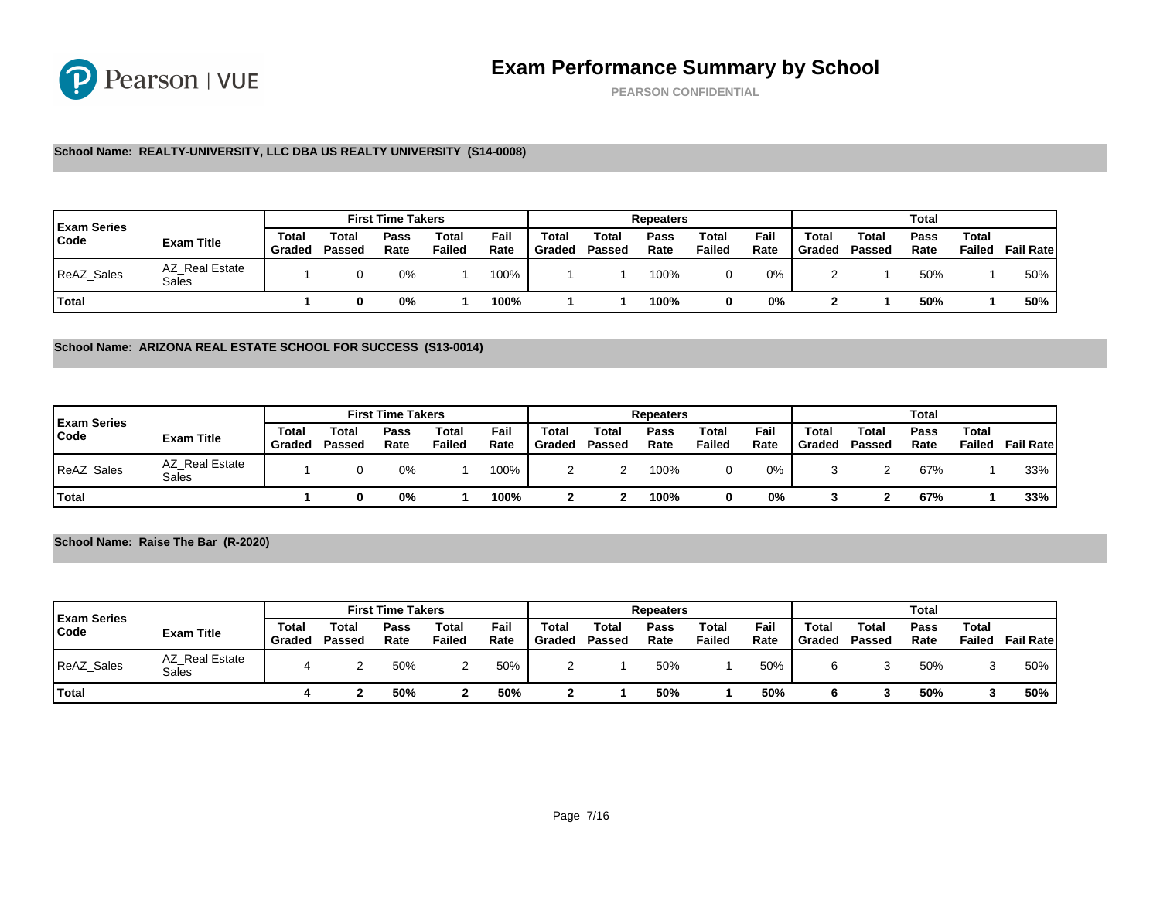PEARSON CONFIDENTIAL

### School Name: REALTY-UNIVERSITY, LLC DBA US REALTY UNIVERSITY (S14-0008)

| <b>Exam Series</b> |                         |                 |                 | <b>First Time Takers</b> |                       |              |                 |                 | Repeaters    |                 |              |                 |                 |
|--------------------|-------------------------|-----------------|-----------------|--------------------------|-----------------------|--------------|-----------------|-----------------|--------------|-----------------|--------------|-----------------|-----------------|
| Code               | Exam Title              | Total<br>Graded | Total<br>Passed | Pass<br>Rate             | $\tau$ otal<br>Failed | Fail<br>Rate | Total<br>Graded | Total<br>Passed | Pass<br>Rate | Total<br>Failed | Fail<br>Rate | Total<br>Graded | Total<br>Passed |
| ReAZ_Sales         | AZ Real Estate<br>Sales |                 |                 | 0%                       |                       | 100%         |                 |                 | 100%         |                 | 0%           |                 |                 |
| 'Total             |                         |                 |                 | 0%                       |                       | 100%         |                 |                 | 100%         |                 | 0%           |                 |                 |

#### School Name: ARIZONA REAL ESTATE SCHOOL FOR SUCCESS (S13-0014)

| <b>Exam Series</b> |                         |                 |                       | <b>First Time Takers</b> |                 |              |                 |                 | Repeaters    |                 |              |                 |                 |
|--------------------|-------------------------|-----------------|-----------------------|--------------------------|-----------------|--------------|-----------------|-----------------|--------------|-----------------|--------------|-----------------|-----------------|
| Code               | Exam Title              | Total<br>Gradec | $\tau$ otal<br>Passed | Pass<br>Rate             | Total<br>Failed | Fail<br>Rate | Total<br>Graded | Total<br>Passed | Pass<br>Rate | Total<br>Failed | Fail<br>Rate | Total<br>Graded | Total<br>Passed |
| <b>ReAZ Sales</b>  | AZ Real Estate<br>Sales |                 |                       | 0%                       |                 | 100%         |                 |                 | 100%         |                 | 0%           |                 |                 |
| Total              |                         |                 |                       | 0%                       |                 | 100%         |                 |                 | 100%         |                 | 0%           |                 |                 |

### School Name: Raise The Bar (R-2020)

| <b>Exam Series</b> |                         |                 |                 | <b>First Time Takers</b> |                 |              |                 |                 | Repeaters    |                 |              |                 |                 |
|--------------------|-------------------------|-----------------|-----------------|--------------------------|-----------------|--------------|-----------------|-----------------|--------------|-----------------|--------------|-----------------|-----------------|
| Code               | Exam Title              | Total<br>Graded | Total<br>Passed | Pass<br>Rate             | Total<br>Failed | Fail<br>Rate | Total<br>Graded | Total<br>Passed | Pass<br>Rate | Total<br>Failed | Fail<br>Rate | Total<br>Graded | Total<br>Passed |
| ReAZ_Sales         | AZ Real Estate<br>Sales |                 |                 | 50%                      |                 | 50%          |                 |                 | 50%          |                 | 50%          |                 | ື               |
| Total              |                         |                 |                 | 50%                      |                 | 50%          |                 |                 | 50%          |                 | 50%          |                 |                 |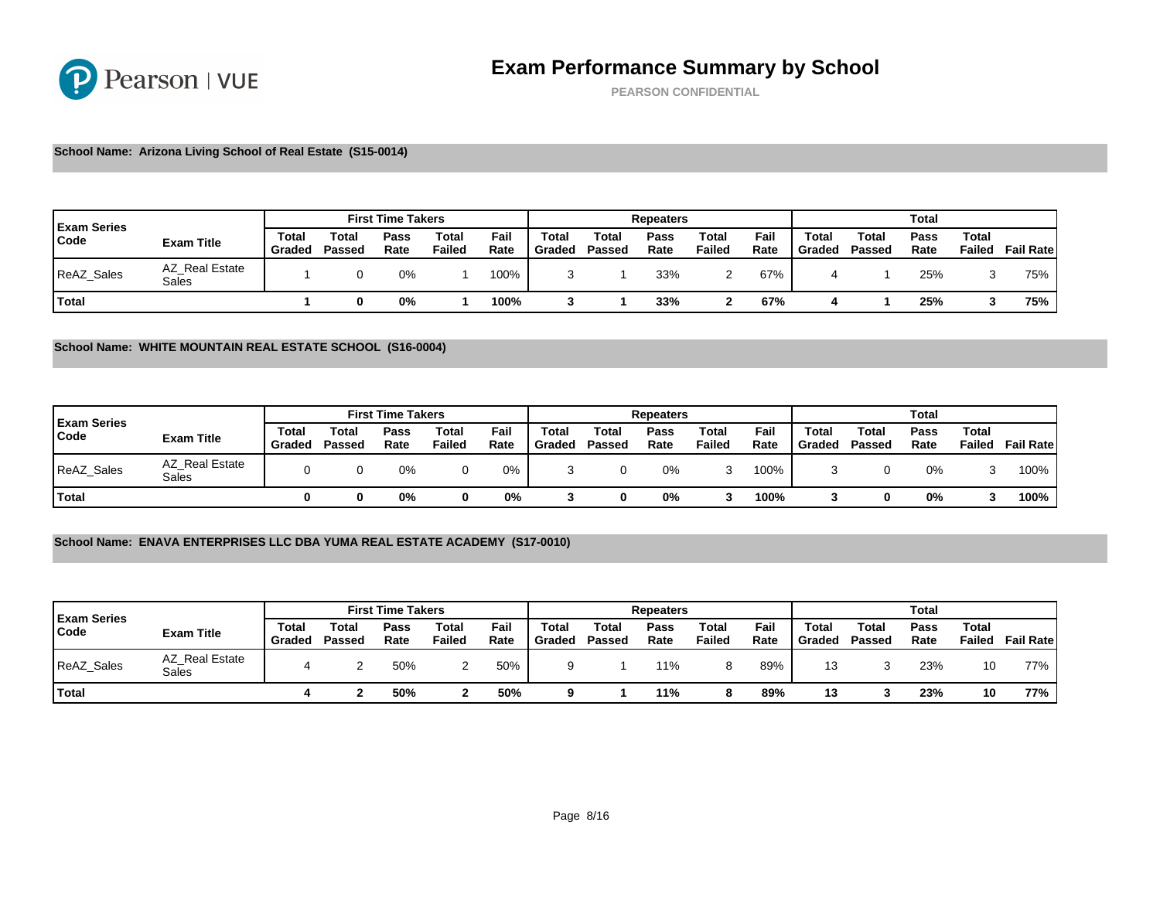PEARSON CONFIDENTIAL

School Name: Arizona Living School of Real Estate (S15-0014)

| <b>Exam Series</b> |                         |                 |                       | <b>First Time Takers</b> |                 |              |                 |                 | Repeaters    |                 |              |                 |                 |
|--------------------|-------------------------|-----------------|-----------------------|--------------------------|-----------------|--------------|-----------------|-----------------|--------------|-----------------|--------------|-----------------|-----------------|
| Code               | Exam Title              | Total<br>Gradec | $\tau$ otai<br>Passed | Pass<br>Rate             | Total<br>Failed | Fail<br>Rate | Total<br>Graded | Total<br>Passed | Pass<br>Rate | Total<br>Failed | Fail<br>Rate | Total<br>Graded | Total<br>Passed |
| ReAZ_Sales         | AZ Real Estate<br>Sales |                 |                       | 0%                       |                 | 100%         |                 |                 | 33%          |                 | 67%          |                 |                 |
| Total              |                         |                 |                       | 0%                       |                 | 100%         |                 |                 | 33%          |                 | 67%          |                 |                 |

### School Name: WHITE MOUNTAIN REAL ESTATE SCHOOL (S16-0004)

|                            |                         |                 |                 | <b>First Time Takers</b> |                 |              |                 |                 | Repeaters    |                 |              |                 |                 |
|----------------------------|-------------------------|-----------------|-----------------|--------------------------|-----------------|--------------|-----------------|-----------------|--------------|-----------------|--------------|-----------------|-----------------|
| <b>Exam Series</b><br>Code | Exam Title              | Total<br>Graded | Total<br>Passed | Pass<br>Rate             | Total<br>Failed | Fail<br>Rate | Total<br>Graded | Total<br>Passed | Pass<br>Rate | Total<br>Failed | Fail<br>Rate | Total<br>Graded | Total<br>Passed |
| ReAZ_Sales                 | AZ Real Estate<br>Sales |                 |                 | 0%                       |                 | 0%           |                 |                 | 0%           |                 | 100%         |                 |                 |
| <sup>1</sup> Total         |                         |                 |                 | 0%                       |                 | 0%           |                 |                 | 0%           |                 | 100%         |                 |                 |

### School Name: ENAVA ENTERPRISES LLC DBA YUMA REAL ESTATE ACADEMY (S17-0010)

| <b>Exam Series</b> |                         |                 |                 | <b>First Time Takers</b> |                 |              |                 |                 | Repeaters    |                 |              |                 |                 |
|--------------------|-------------------------|-----------------|-----------------|--------------------------|-----------------|--------------|-----------------|-----------------|--------------|-----------------|--------------|-----------------|-----------------|
| Code               | Exam Title              | Total<br>Graded | Total<br>Passed | Pass<br>Rate             | Total<br>Failed | Fail<br>Rate | Total<br>Graded | Total<br>Passed | Pass<br>Rate | Total<br>Failed | Fail<br>Rate | Total<br>Graded | Total<br>Passed |
| ReAZ_Sales         | AZ Real Estate<br>Sales |                 |                 | 50%                      |                 | 50%          | Q               |                 | 11%          |                 | 89%          | 13              | ື               |
| Total              |                         |                 |                 | 50%                      |                 | 50%          |                 |                 | 11%          |                 | 89%          | 13              |                 |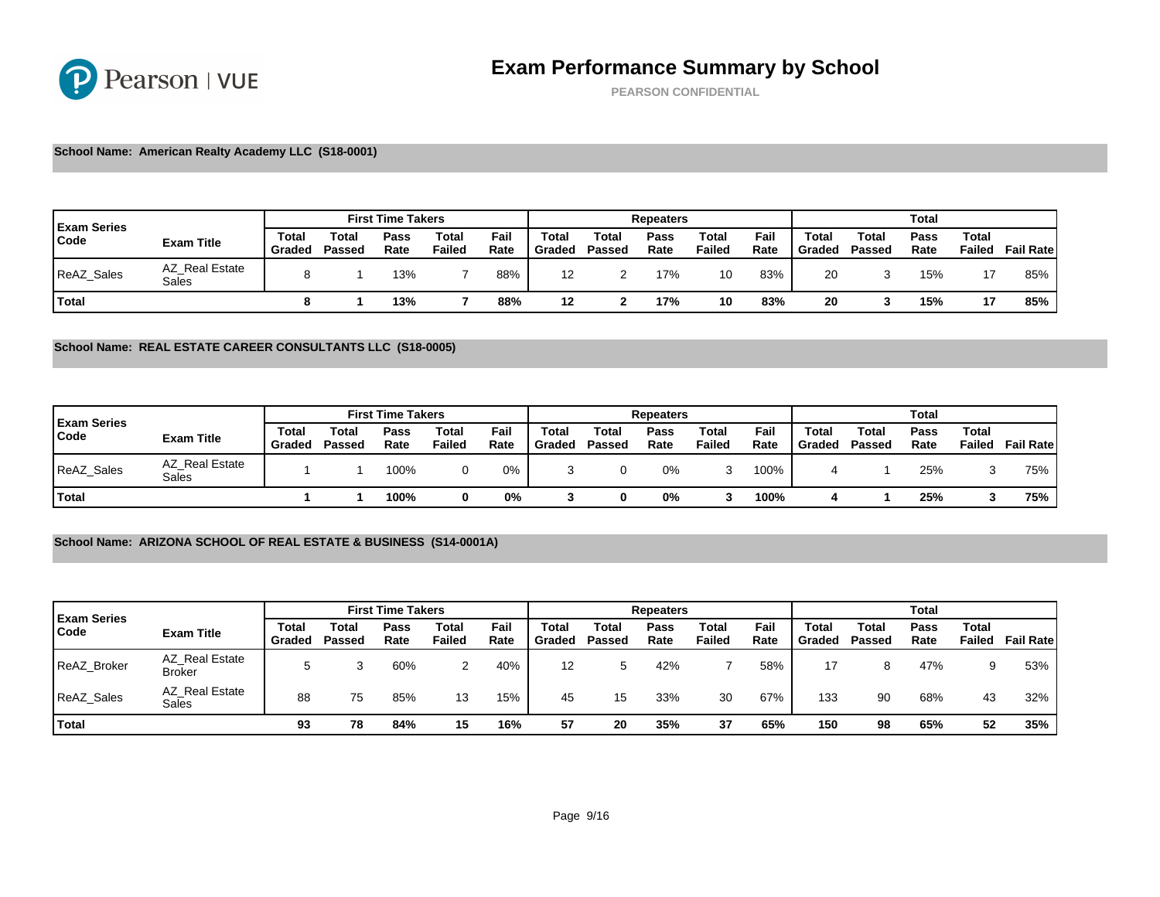PEARSON CONFIDENTIAL

School Name: American Realty Academy LLC (S18-0001)

| <b>Exam Series</b> |                         |                 |                 | <b>First Time Takers</b> |                       |              |                        |                 | Repeaters    |                 |              |                 |                 |
|--------------------|-------------------------|-----------------|-----------------|--------------------------|-----------------------|--------------|------------------------|-----------------|--------------|-----------------|--------------|-----------------|-----------------|
| Code               | Exam Title              | Total<br>Graded | Total<br>Passed | Pass<br>Rate             | $\tau$ otal<br>Failed | Fail<br>Rate | <b>Total</b><br>Graded | Total<br>Passed | Pass<br>Rate | Total<br>Failed | Fail<br>Rate | Total<br>Graded | Total<br>Passed |
| ReAZ_Sales         | AZ Real Estate<br>Sales |                 |                 | 13%                      |                       | 88%          | 12                     |                 | 17%          | 10              | 83%          | 20              | ູບ              |
| Total              |                         |                 |                 | 13%                      |                       | 88%          | 12                     |                 | 17%          | 10              | 83%          | 20              | v               |

#### School Name: REAL ESTATE CAREER CONSULTANTS LLC (S18-0005)

| <b>Exam Series</b> |                         |                 |                 | <b>First Time Takers</b> |                 |              |                 |                 | Repeaters    |                 |              |                 |                 |
|--------------------|-------------------------|-----------------|-----------------|--------------------------|-----------------|--------------|-----------------|-----------------|--------------|-----------------|--------------|-----------------|-----------------|
| Code               | Exam Title              | Total<br>Graded | Total<br>Passed | Pass<br>Rate             | Total<br>Failed | Fail<br>Rate | Total<br>Graded | Total<br>Passed | Pass<br>Rate | Total<br>Failed | Fail<br>Rate | Total<br>Graded | Total<br>Passed |
| ReAZ_Sales         | AZ Real Estate<br>Sales |                 |                 | 100%                     |                 | 0%           |                 |                 | 0%           |                 | 100%         |                 |                 |
| <sup>1</sup> Total |                         |                 |                 | 100%                     |                 | 0%           |                 |                 | 0%           |                 | 100%         |                 |                 |

### School Name: ARIZONA SCHOOL OF REAL ESTATE & BUSINESS (S14-0001A)

| <b>Exam Series</b> |                                 |                 |                 | <b>First Time Takers</b> |                 |              |                                  |                 | Repeaters    |                 |              |                 |                 |
|--------------------|---------------------------------|-----------------|-----------------|--------------------------|-----------------|--------------|----------------------------------|-----------------|--------------|-----------------|--------------|-----------------|-----------------|
| Code               | Exam Title                      | Total<br>Graded | Total<br>Passed | Pass<br>Rate             | Total<br>Failed | Fail<br>Rate | $\tau$ <sub>otal</sub><br>Graded | Total<br>Passed | Pass<br>Rate | Total<br>Failed | Fail<br>Rate | Total<br>Graded | Total<br>Passed |
| ReAZ Broker        | AZ Real Estate<br><b>Broker</b> |                 | 3               | 60%                      | 2               | 40%          | 12                               | 5               | 42%          |                 | 58%          | 17              | 8               |
| <b>ReAZ Sales</b>  | AZ Real Estate<br>Sales         | 88              | 75              | 85%                      | 13              | 15%          | 45                               | 15              | 33%          | 30              | 67%          | 133             | 90              |
| Total              |                                 | 93              | 78              | 84%                      | 15              | 16%          | 57                               | 20              | 35%          | 37              | 65%          | 150             | 98              |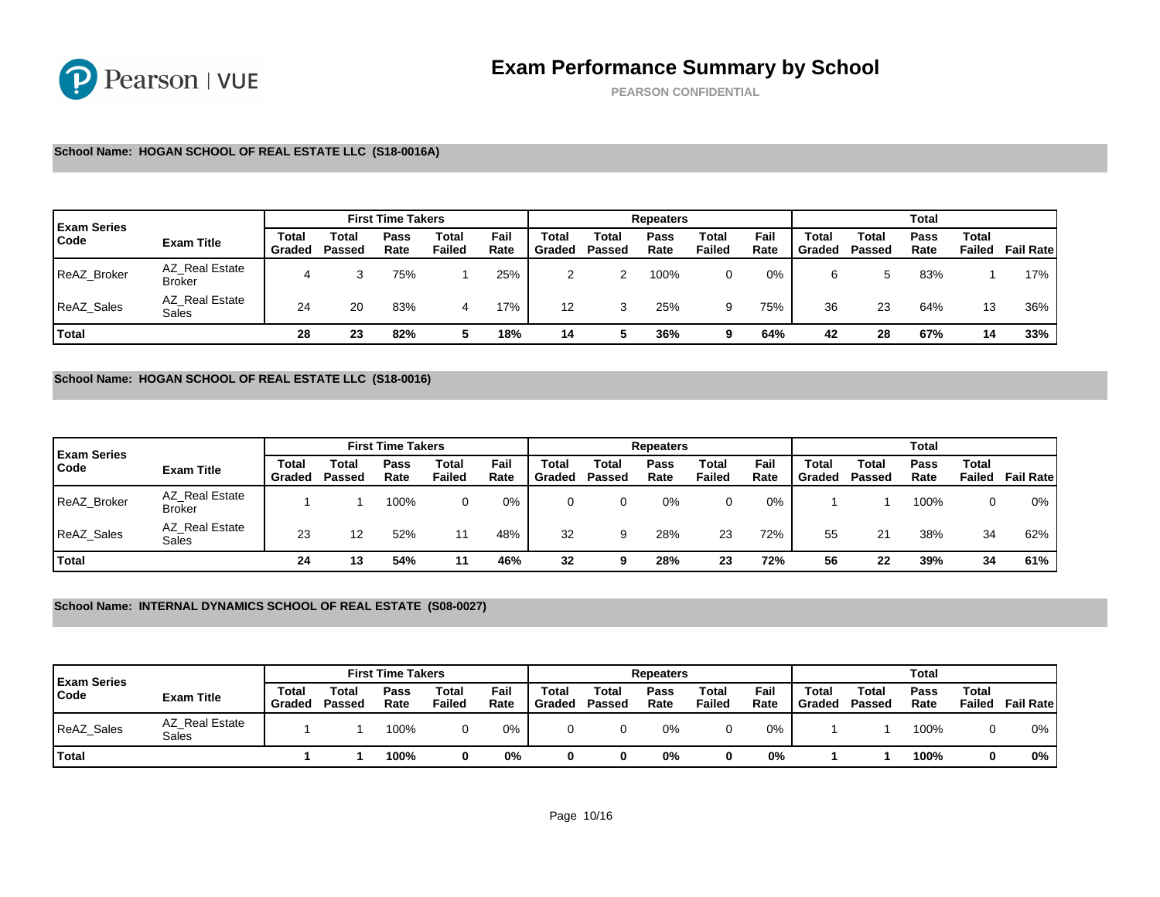PEARSON CONFIDENTIAL

#### School Name: HOGAN SCHOOL OF REAL ESTATE LLC (S18-0016A)

| <b>Exam Series</b> |                                 |                 |                       | <b>First Time Takers</b> |                 |              |                 |                 | Repeaters    |                 |              |                 |                 |
|--------------------|---------------------------------|-----------------|-----------------------|--------------------------|-----------------|--------------|-----------------|-----------------|--------------|-----------------|--------------|-----------------|-----------------|
| Code               | Exam Title                      | Total<br>Graded | $\tau$ otal<br>Passed | Pass<br>Rate             | Total<br>Failed | Fail<br>Rate | Total<br>Graded | Total<br>Passed | Pass<br>Rate | Total<br>Failed | Fail<br>Rate | Total<br>Graded | Total<br>Passed |
| ReAZ Broker        | AZ Real Estate<br><b>Broker</b> |                 |                       | 75%                      |                 | 25%          |                 | ົ               | 100%         |                 | 0%           | 6               | 5               |
| <b>ReAZ Sales</b>  | AZ Real Estate<br>Sales         | 24              | 20                    | 83%                      | 4               | 17%          | 12              |                 | 25%          | 9               | 75%          | 36              | 23              |
| Total              |                                 | 28              | ົດລ<br>د∠             | 82%                      | 5               | 18%          | 14              | 5               | 36%          | 9               | 64%          | 42              | 28              |

### School Name: HOGAN SCHOOL OF REAL ESTATE LLC (S18-0016)

| <b>Exam Series</b> |                                 |                 |                 | <b>First Time Takers</b> |                 |              |                 |                 | Repeaters    |                 |              |                 |                 |
|--------------------|---------------------------------|-----------------|-----------------|--------------------------|-----------------|--------------|-----------------|-----------------|--------------|-----------------|--------------|-----------------|-----------------|
| Code               | Exam Title                      | Total<br>Graded | Total<br>Passed | Pass<br>Rate             | Total<br>Failed | Fail<br>Rate | Total<br>Graded | Total<br>Passed | Pass<br>Rate | Total<br>Failed | Fail<br>Rate | Total<br>Graded | Total<br>Passed |
| <b>ReAZ Broker</b> | AZ Real Estate<br><b>Broker</b> |                 |                 | 100%                     | 0               | 0%           |                 |                 | 0%           |                 | 0%           |                 |                 |
| <b>ReAZ Sales</b>  | AZ Real Estate<br>Sales         | 23              | 12              | 52%                      | 11              | 48%          | 32              | 9               | 28%          | 23              | 72%          | 55              | 21              |
| Total              |                                 | 24              | 13              | 54%                      | -11             | 46%          | 32              | 9               | 28%          | 23              | 72%          | 56              | 22              |

School Name: INTERNAL DYNAMICS SCHOOL OF REAL ESTATE (S08-0027)

| <b>Exam Series</b> |                         |                 |                 | <b>First Time Takers</b> |                 |              |                       |                 | Repeaters    |                 |              |                 |                 |
|--------------------|-------------------------|-----------------|-----------------|--------------------------|-----------------|--------------|-----------------------|-----------------|--------------|-----------------|--------------|-----------------|-----------------|
| Code               | Exam Title              | Total<br>Graded | Total<br>Passed | Pass<br>Rate             | Total<br>Failed | Fail<br>Rate | $\tau$ otal<br>Graded | Total<br>Passed | Pass<br>Rate | Total<br>Failed | Fail<br>Rate | Total<br>Graded | Total<br>Passed |
| ReAZ_Sales         | AZ Real Estate<br>Sales |                 |                 | 100%                     |                 | 0%           |                       |                 | 0%           |                 | 0%           |                 |                 |
| <b>Total</b>       |                         |                 |                 | 100%                     |                 | 0%           |                       |                 | 0%           |                 | 0%           |                 |                 |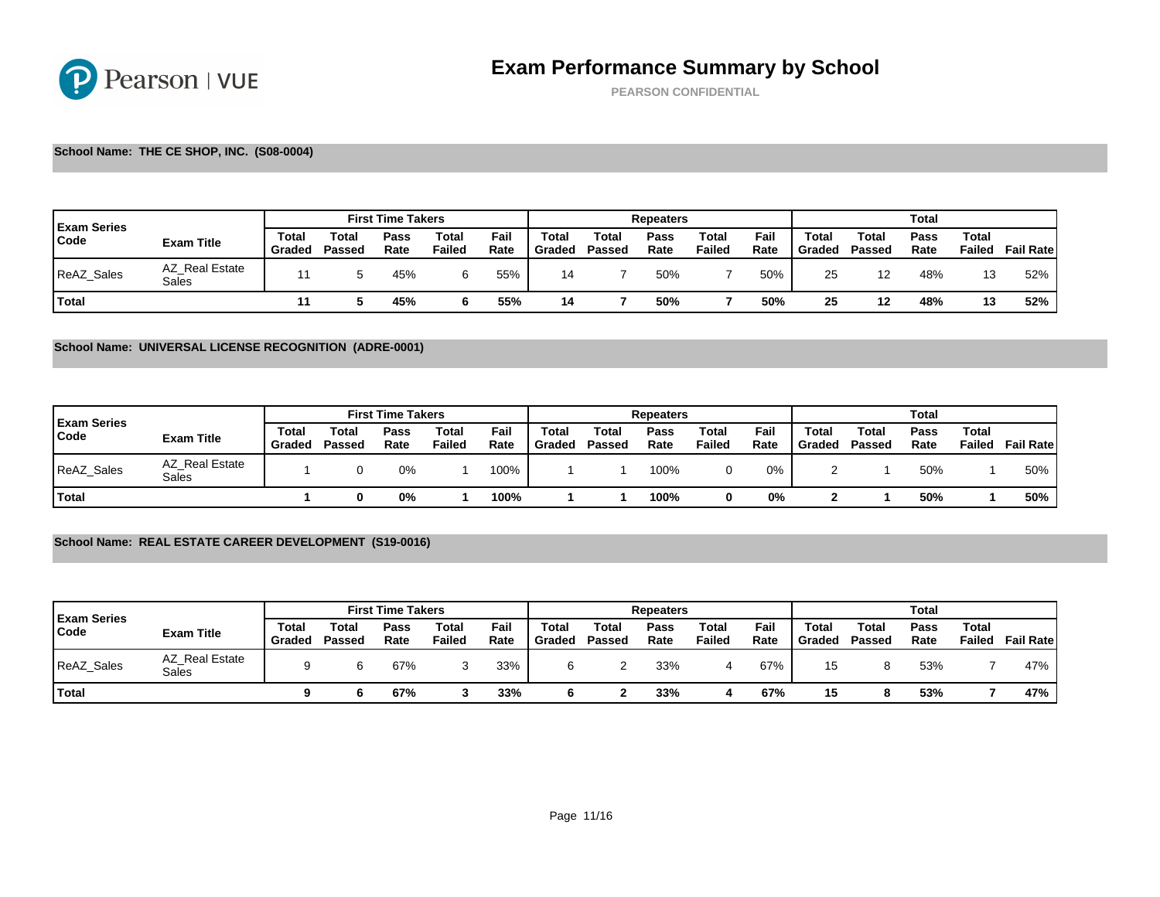PEARSON CONFIDENTIAL

#### School Name: THE CE SHOP, INC. (S08-0004)

| <b>Exam Series</b> |                         |                 |                       | <b>First Time Takers</b> |                 |              |                 |                 | Repeaters    |                 |              |                 |                   |
|--------------------|-------------------------|-----------------|-----------------------|--------------------------|-----------------|--------------|-----------------|-----------------|--------------|-----------------|--------------|-----------------|-------------------|
| Code               | Exam Title              | Total<br>Graded | $\tau$ otal<br>Passed | Pass<br>Rate             | Total<br>Failed | Fail<br>Rate | Total<br>Graded | Total<br>Passed | Pass<br>Rate | Total<br>Failed | Fail<br>Rate | Total<br>Graded | Total<br>Passed   |
| <b>ReAZ Sales</b>  | AZ Real Estate<br>Sales |                 |                       | 45%                      |                 | 55%          | 14              |                 | 50%          |                 | 50%          | 25              | $12 \overline{ }$ |
| <b>Total</b>       |                         |                 |                       | 45%                      |                 | 55%          | 14              |                 | 50%          |                 | 50%          | 25              | 12                |

#### School Name: UNIVERSAL LICENSE RECOGNITION (ADRE-0001)

| <b>Exam Series</b> |                         |                 |                       | <b>First Time Takers</b> |                 |              |                 |                 | Repeaters    |                 |              |                 |                 |
|--------------------|-------------------------|-----------------|-----------------------|--------------------------|-----------------|--------------|-----------------|-----------------|--------------|-----------------|--------------|-----------------|-----------------|
| Code               | Exam Title              | Total<br>Gradec | $\tau$ otal<br>Passed | Pass<br>Rate             | Total<br>Failed | Fail<br>Rate | Total<br>Graded | Total<br>Passed | Pass<br>Rate | Total<br>Failed | Fail<br>Rate | Total<br>Graded | Total<br>Passed |
| <b>ReAZ Sales</b>  | AZ Real Estate<br>Sales |                 |                       | 0%                       |                 | 100%         |                 |                 | 100%         |                 | 0%           |                 |                 |
| <b>Total</b>       |                         |                 |                       | 0%                       |                 | 100%         |                 |                 | 100%         |                 | 0%           |                 |                 |

## School Name: REAL ESTATE CAREER DEVELOPMENT (S19-0016)

| <b>Exam Series</b> |                         |                 |                 | <b>First Time Takers</b> |                 |              |                       |                 | Repeaters    |                 |              |                 |                 |
|--------------------|-------------------------|-----------------|-----------------|--------------------------|-----------------|--------------|-----------------------|-----------------|--------------|-----------------|--------------|-----------------|-----------------|
| Code               | Exam Title              | Total<br>Graded | Total<br>Passed | Pass<br>Rate             | Total<br>Failed | Fail<br>Rate | $\tau$ otal<br>Graded | Total<br>Passed | Pass<br>Rate | Total<br>Failed | Fail<br>Rate | Total<br>Graded | Total<br>Passed |
| ReAZ_Sales         | AZ Real Estate<br>Sales |                 | n               | 67%                      |                 | 33%          |                       |                 | 33%          |                 | 67%          | 15              | 8               |
| <b>Total</b>       |                         |                 |                 | 67%                      |                 | 33%          |                       |                 | 33%          |                 | 67%          | 15              |                 |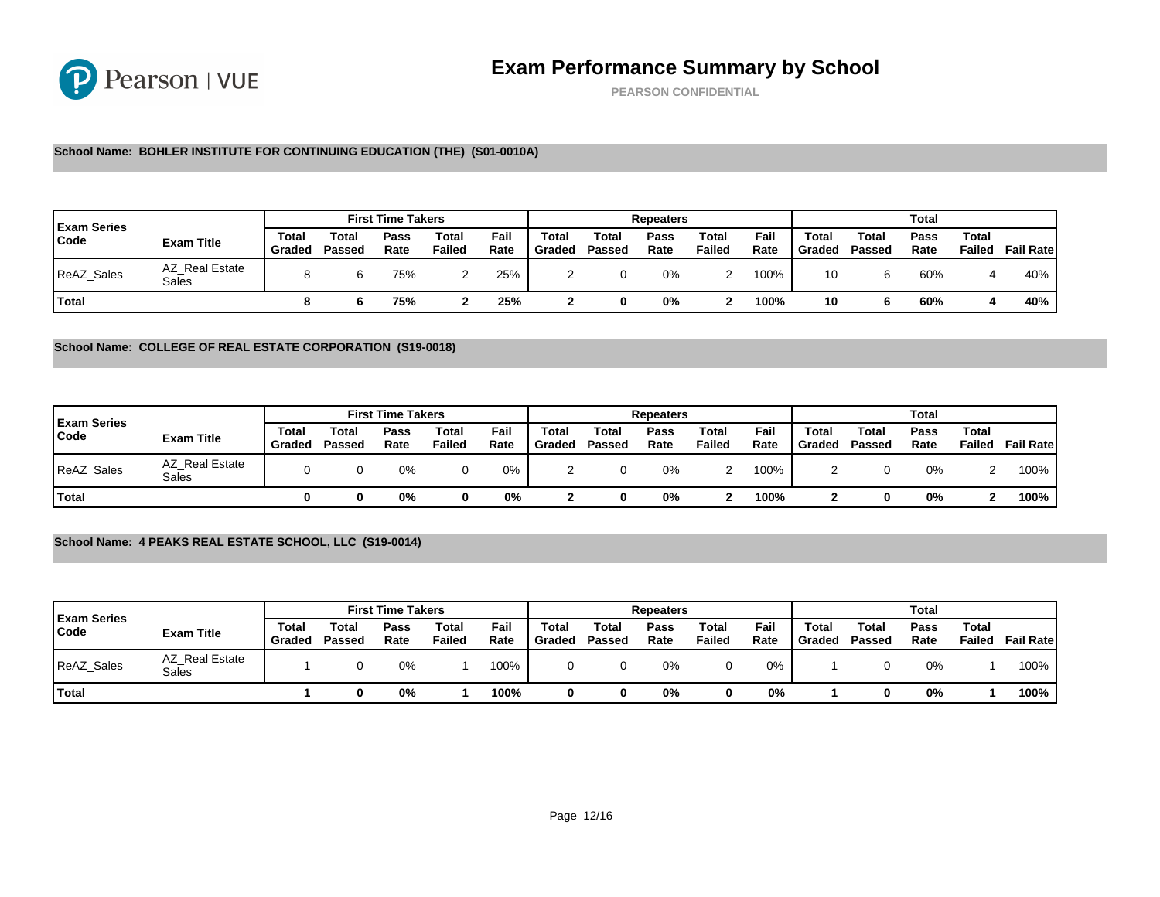PEARSON CONFIDENTIAL

### School Name: BOHLER INSTITUTE FOR CONTINUING EDUCATION (THE) (S01-0010A)

| <b>Exam Series</b> |                         |                 |                 | <b>First Time Takers</b> |                 |              |                                  |                 | Repeaters    |                 |              |                 |                 |
|--------------------|-------------------------|-----------------|-----------------|--------------------------|-----------------|--------------|----------------------------------|-----------------|--------------|-----------------|--------------|-----------------|-----------------|
| Code               | Exam Title              | Total<br>Graded | Total<br>Passed | Pass<br>Rate             | Total<br>Failed | Fail<br>Rate | $\tau$ <sub>otal</sub><br>Graded | Total<br>Passed | Pass<br>Rate | Total<br>Failed | Fail<br>Rate | Total<br>Graded | Total<br>Passed |
| ReAZ_Sales         | AZ Real Estate<br>Sales |                 |                 | 75%                      |                 | 25%          |                                  |                 | 0%           |                 | 100%         | 10              |                 |
| <b>Total</b>       |                         |                 |                 | 75%                      |                 | 25%          |                                  |                 | 0%           |                 | 100%         | 10              |                 |

#### School Name: COLLEGE OF REAL ESTATE CORPORATION (S19-0018)

|                            |                         |                 |                 | <b>First Time Takers</b> |                 |              |                 |                 | Repeaters    |                 |              |                 |                 |
|----------------------------|-------------------------|-----------------|-----------------|--------------------------|-----------------|--------------|-----------------|-----------------|--------------|-----------------|--------------|-----------------|-----------------|
| <b>Exam Series</b><br>Code | Exam Title              | Total<br>Graded | Total<br>Passed | Pass<br>Rate             | Total<br>Failed | Fail<br>Rate | Total<br>Graded | Total<br>Passed | Pass<br>Rate | Total<br>Failed | Fail<br>Rate | Total<br>Graded | Total<br>Passed |
| ReAZ_Sales                 | AZ Real Estate<br>Sales |                 |                 | 0%                       |                 | 0%           |                 |                 | 0%           |                 | 100%         |                 |                 |
| <sup>1</sup> Total         |                         |                 |                 | 0%                       |                 | 0%           |                 |                 | 0%           |                 | 100%         |                 |                 |

## School Name: 4 PEAKS REAL ESTATE SCHOOL, LLC (S19-0014)

| <b>Exam Series</b> |                         |                 |                 | <b>First Time Takers</b> |                       |              |                 |                 | Repeaters    |                 |              |                 |                 |
|--------------------|-------------------------|-----------------|-----------------|--------------------------|-----------------------|--------------|-----------------|-----------------|--------------|-----------------|--------------|-----------------|-----------------|
| Code               | Exam Title              | Total<br>Graded | Total<br>Passed | Pass<br>Rate             | $\tau$ otal<br>Failed | Fail<br>Rate | Total<br>Graded | Total<br>Passed | Pass<br>Rate | Total<br>Failed | Fail<br>Rate | Total<br>Graded | Total<br>Passed |
| ReAZ_Sales         | AZ Real Estate<br>Sales |                 |                 | 0%                       |                       | 100%         |                 |                 | 0%           |                 | 0%           |                 |                 |
| Total              |                         |                 |                 | 0%                       |                       | 100%         |                 |                 | 0%           |                 | 0%           |                 |                 |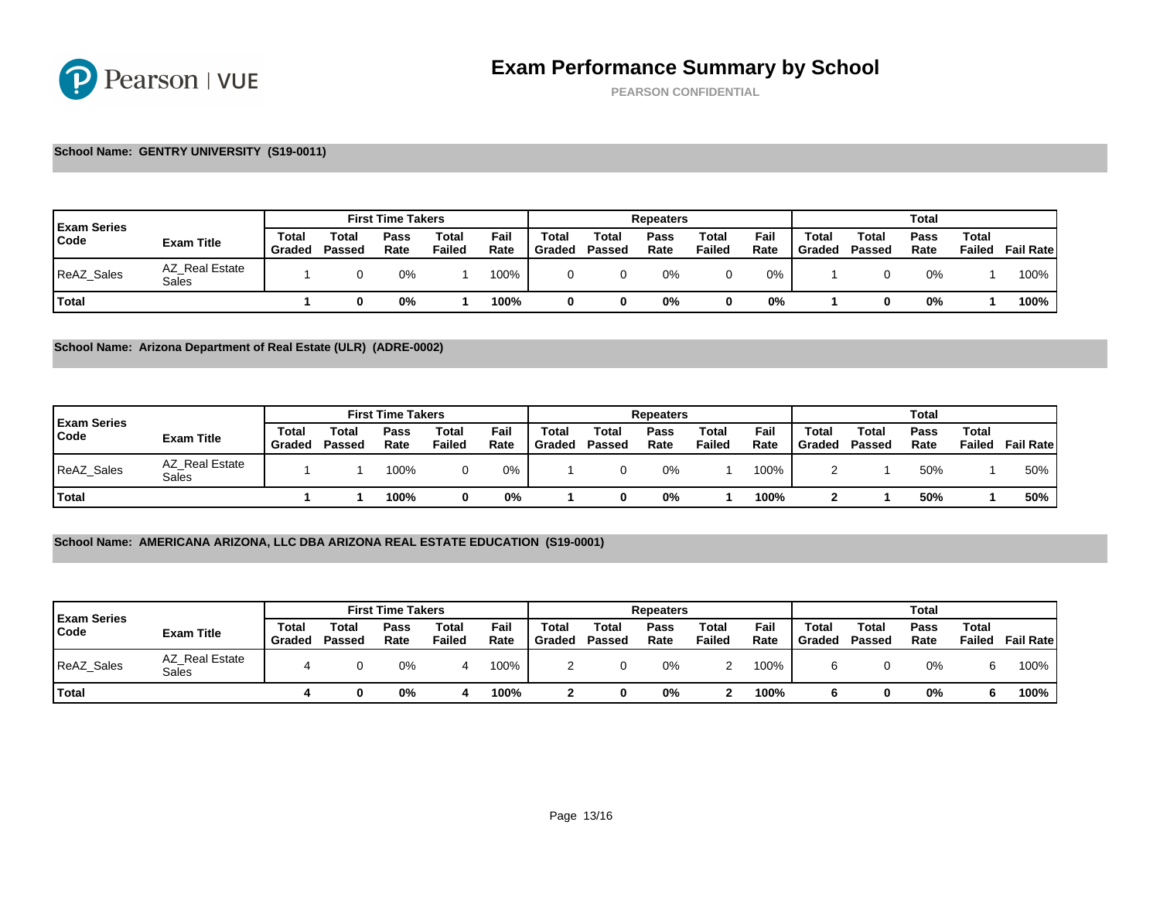PEARSON CONFIDENTIAL

### School Name: GENTRY UNIVERSITY (S19-0011)

| <b>Exam Series</b> |                         |                 |                       | <b>First Time Takers</b> |                 |              |                 |                 | Repeaters    |                 |              |                 |                 |
|--------------------|-------------------------|-----------------|-----------------------|--------------------------|-----------------|--------------|-----------------|-----------------|--------------|-----------------|--------------|-----------------|-----------------|
| Code               | Exam Title              | Total<br>Graded | $\tau$ otal<br>Passed | Pass<br>Rate             | Total<br>Failed | Fail<br>Rate | Total<br>Graded | Total<br>Passed | Pass<br>Rate | Total<br>Failed | Fail<br>Rate | Total<br>Graded | Total<br>Passed |
| <b>ReAZ Sales</b>  | AZ Real Estate<br>Sales |                 |                       | 0%                       |                 | 100%         |                 |                 | 0%           |                 | 0%           |                 |                 |
| Total              |                         |                 |                       | 0%                       |                 | 100%         |                 |                 | 0%           |                 | 0%           |                 |                 |

School Name: Arizona Department of Real Estate (ULR) (ADRE-0002)

|                            |                         |                 |                 | <b>First Time Takers</b> |                 |              |                 | Repeaters       |              |                 |              |                 |                 |
|----------------------------|-------------------------|-----------------|-----------------|--------------------------|-----------------|--------------|-----------------|-----------------|--------------|-----------------|--------------|-----------------|-----------------|
| <b>Exam Series</b><br>Code | Exam Title              | Total<br>Graded | Total<br>Passed | Pass<br>Rate             | Total<br>Failed | Fail<br>Rate | Total<br>Graded | Total<br>Passed | Pass<br>Rate | Total<br>Failed | Fail<br>Rate | Total<br>Graded | Total<br>Passed |
| <b>ReAZ Sales</b>          | AZ Real Estate<br>Sales |                 |                 | 100%                     |                 | 0%           |                 |                 | 0%           |                 | 100%         |                 |                 |
| Total                      |                         |                 |                 | 100%                     |                 | 0%           |                 |                 | 0%           |                 | 100%         |                 |                 |

### School Name: AMERICANA ARIZONA, LLC DBA ARIZONA REAL ESTATE EDUCATION (S19-0001)

| <b>Exam Series</b> |                         |                 |                 | <b>First Time Takers</b> |                 |              |                 | Repeaters       |              |                 |              |                 |                 |
|--------------------|-------------------------|-----------------|-----------------|--------------------------|-----------------|--------------|-----------------|-----------------|--------------|-----------------|--------------|-----------------|-----------------|
| Code               | Exam Title              | Total<br>Graded | Total<br>Passed | Pass<br>Rate             | Total<br>Failed | Fail<br>Rate | Total<br>Graded | Total<br>Passed | Pass<br>Rate | Total<br>Failed | Fail<br>Rate | Total<br>Graded | Total<br>Passed |
| ReAZ Sales         | AZ Real Estate<br>Sales |                 |                 | 0%                       |                 | 100%         |                 |                 | 0%           |                 | 100%         |                 |                 |
| Total              |                         |                 |                 | 0%                       |                 | 100%         |                 |                 | 0%           |                 | 100%         |                 |                 |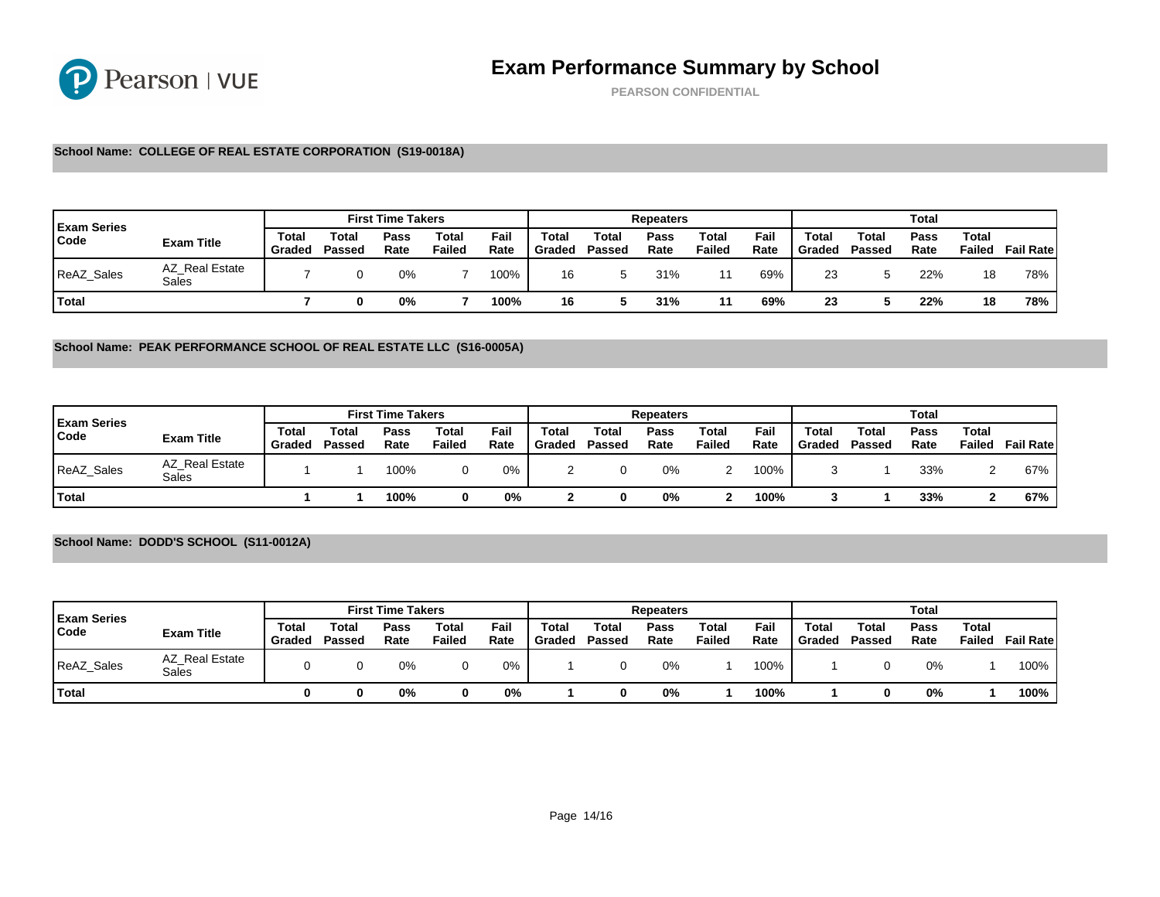PEARSON CONFIDENTIAL

### School Name: COLLEGE OF REAL ESTATE CORPORATION (S19-0018A)

| <b>Exam Series</b> |                         |                 |                       | <b>First Time Takers</b> |                 |              |                 | Repeaters       |              |                 |              |                 |                 |
|--------------------|-------------------------|-----------------|-----------------------|--------------------------|-----------------|--------------|-----------------|-----------------|--------------|-----------------|--------------|-----------------|-----------------|
| Code               | Exam Title              | Total<br>Gradec | $\tau$ otal<br>Passed | Pass<br>Rate             | Total<br>Failed | Fail<br>Rate | Total<br>Graded | Total<br>Passed | Pass<br>Rate | Total<br>Failed | Fail<br>Rate | Total<br>Graded | Total<br>Passed |
| <b>ReAZ Sales</b>  | AZ Real Estate<br>Sales |                 |                       | 0%                       |                 | 100%         | 16              |                 | 31%          | 11              | 69%          | 23              |                 |
| Total              |                         |                 |                       | 0%                       |                 | 100%         | 16              |                 | 31%          | 11              | 69%          | 23              |                 |

School Name: PEAK PERFORMANCE SCHOOL OF REAL ESTATE LLC (S16-0005A)

| <b>Exam Series</b> |                         | <b>First Time Takers</b> |                 |              |                 |              |                 |                 | Repeaters    |                 |              |                 |                 |
|--------------------|-------------------------|--------------------------|-----------------|--------------|-----------------|--------------|-----------------|-----------------|--------------|-----------------|--------------|-----------------|-----------------|
| Code               | Exam Title              | Total<br>Graded          | Total<br>Passed | Pass<br>Rate | Total<br>Failed | Fail<br>Rate | Total<br>Graded | Total<br>Passed | Pass<br>Rate | Total<br>Failed | Fail<br>Rate | Total<br>Graded | Total<br>Passed |
| ReAZ_Sales         | AZ Real Estate<br>Sales |                          |                 | 100%         |                 | 0%           |                 |                 | 0%           |                 | 100%         |                 |                 |
| <sup>1</sup> Total |                         |                          |                 | 100%         |                 | 0%           |                 |                 | 0%           |                 | 100%         |                 |                 |

## School Name: DODD'S SCHOOL (S11-0012A)

| <b>Exam Series</b> |                         | <b>First Time Takers</b> |                 |              |                 |              |                 |                 | Repeaters    |                 |              |                 |                 |
|--------------------|-------------------------|--------------------------|-----------------|--------------|-----------------|--------------|-----------------|-----------------|--------------|-----------------|--------------|-----------------|-----------------|
| Code               | Exam Title              | Total<br>Graded          | Total<br>Passed | Pass<br>Rate | Total<br>Failed | Fail<br>Rate | Total<br>Graded | Total<br>Passed | Pass<br>Rate | Total<br>Failed | Fail<br>Rate | Total<br>Graded | Total<br>Passed |
| ReAZ_Sales         | AZ Real Estate<br>Sales |                          |                 | 0%           |                 | 0%           |                 |                 | 0%           |                 | 100%         |                 |                 |
| <b>Total</b>       |                         |                          |                 | 0%           |                 | 0%           |                 |                 | 0%           |                 | 100%         |                 |                 |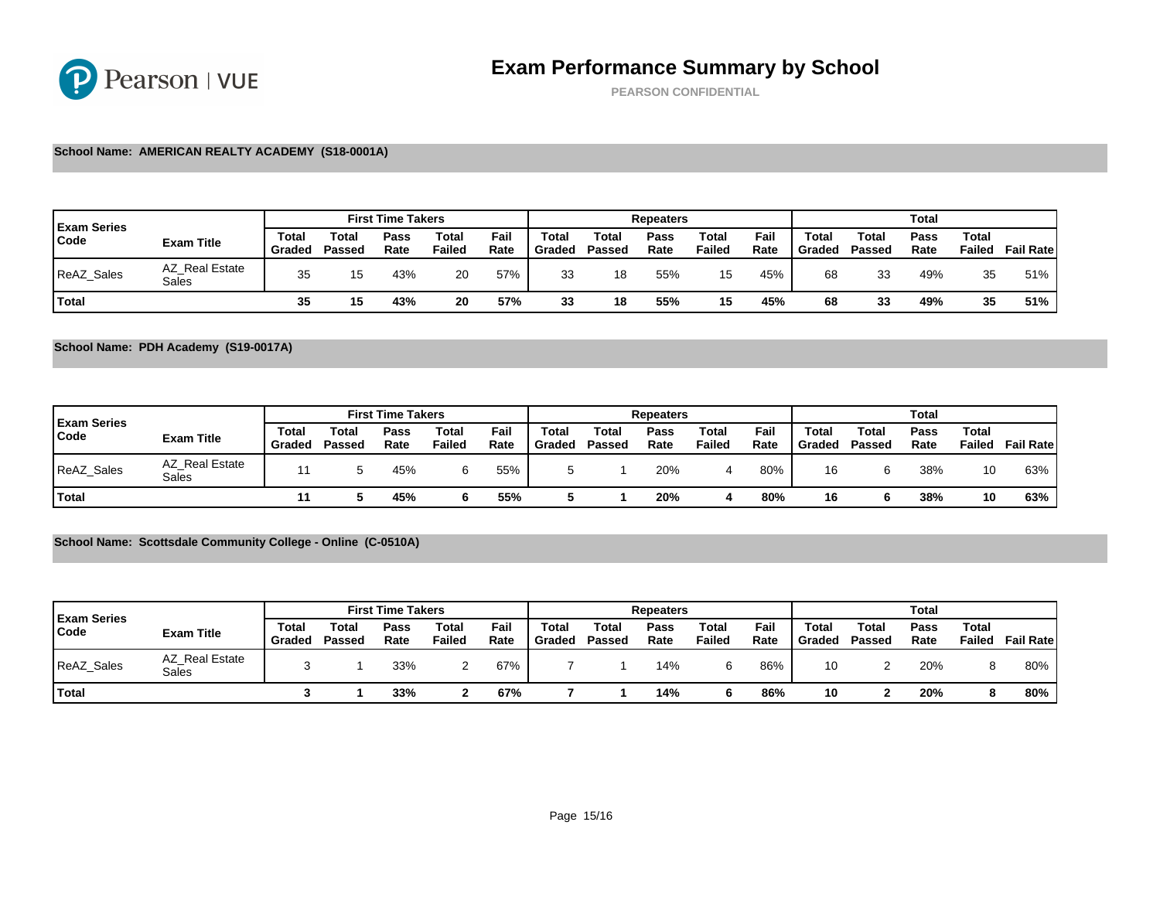PEARSON CONFIDENTIAL

### School Name: AMERICAN REALTY ACADEMY (S18-0001A)

| <b>Exam Series</b> |                         |                 |                       | <b>First Time Takers</b> |                 |              |                 | Repeaters       |              |                 |              |                 |                 |
|--------------------|-------------------------|-----------------|-----------------------|--------------------------|-----------------|--------------|-----------------|-----------------|--------------|-----------------|--------------|-----------------|-----------------|
| Code               | Exam Title              | Total<br>Gradeo | $\tau$ otal<br>Passed | Pass<br>Rate             | Total<br>Failed | Fail<br>Rate | Total<br>Graded | Totai<br>Passed | Pass<br>Rate | Total<br>Failed | Fail<br>Rate | Total<br>Graded | Total<br>Passed |
| <b>ReAZ Sales</b>  | AZ Real Estate<br>Sales | 35              |                       | 43%                      | 20              | 57%          | 33              | 18              | 55%          | 15              | 45%          | 68              | 33              |
| 'Total             |                         | 35              |                       | 43%                      | 20              | 57%          | 33              | 18              | 55%          | 15              | 45%          | 68              | 33              |

School Name: PDH Academy (S19-0017A)

| <b>Exam Series</b> |                         |                 |                 | <b>First Time Takers</b> |                 |              |                       | Repeaters       |              |                 |              |                 |                 |
|--------------------|-------------------------|-----------------|-----------------|--------------------------|-----------------|--------------|-----------------------|-----------------|--------------|-----------------|--------------|-----------------|-----------------|
| Code               | Exam Title              | Total<br>Graded | Total<br>Passed | Pass<br>Rate             | Total<br>Failed | Fail<br>Rate | $\tau$ otal<br>Graded | Total<br>Passed | Pass<br>Rate | Total<br>Failed | Fail<br>Rate | Total<br>Graded | Total<br>Passed |
| ReAZ_Sales         | AZ Real Estate<br>Sales |                 |                 | 45%                      |                 | 55%          |                       |                 | 20%          |                 | 80%          | 16              |                 |
| Total              |                         |                 |                 | 45%                      |                 | 55%          |                       |                 | 20%          |                 | 80%          | 16              |                 |

School Name: Scottsdale Community College - Online (C-0510A)

| <b>Exam Series</b> |                         |                 |                 | <b>First Time Takers</b> |                 |              |                       |                 | Repeaters    |                 |              |                 |                 |
|--------------------|-------------------------|-----------------|-----------------|--------------------------|-----------------|--------------|-----------------------|-----------------|--------------|-----------------|--------------|-----------------|-----------------|
| Code               | Exam Title              | Total<br>Graded | Total<br>Passed | Pass<br>Rate             | Total<br>Failed | Fail<br>Rate | $\tau$ otal<br>Graded | Total<br>Passed | Pass<br>Rate | Total<br>Failed | Fail<br>Rate | Total<br>Graded | Total<br>Passed |
| ReAZ_Sales         | AZ Real Estate<br>Sales |                 |                 | 33%                      |                 | 67%          |                       |                 | 14%          |                 | 86%          | 10              |                 |
| <b>T</b> otal      |                         |                 |                 | 33%                      |                 | 67%          |                       |                 | 14%          |                 | 86%          | 10              |                 |